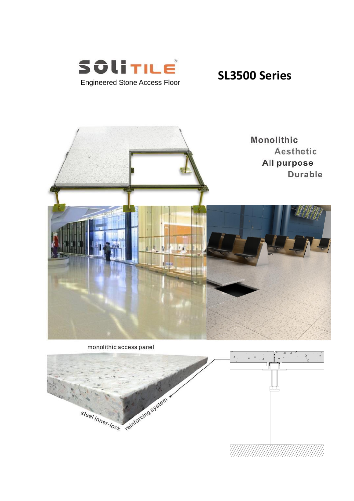



monolithic access panel

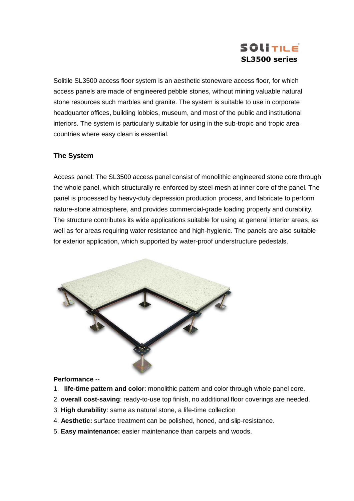# SOLITILE **SL3500 series**

Solitile SL3500 access floor system is an aesthetic stoneware access floor, for which access panels are made of engineered pebble stones, without mining valuable natural stone resources such marbles and granite. The system is suitable to use in corporate headquarter offices, building lobbies, museum, and most of the public and institutional interiors. The system is particularly suitable for using in the sub-tropic and tropic area countries where easy clean is essential.

## **The System**

Access panel: The SL3500 access panel consist of monolithic engineered stone core through the whole panel, which structurally re-enforced by steel-mesh at inner core of the panel. The panel is processed by heavy-duty depression production process, and fabricate to perform nature-stone atmosphere, and provides commercial-grade loading property and durability. The structure contributes its wide applications suitable for using at general interior areas, as well as for areas requiring water resistance and high-hygienic. The panels are also suitable for exterior application, which supported by water-proof understructure pedestals.



### **Performance --**

- 1. **life-time pattern and color**: monolithic pattern and color through whole panel core.
- 2. **overall cost-saving**: ready-to-use top finish, no additional floor coverings are needed.
- 3. **High durability**: same as natural stone, a life-time collection
- 4. **Aesthetic:** surface treatment can be polished, honed, and slip-resistance.
- 5. **Easy maintenance:** easier maintenance than carpets and woods.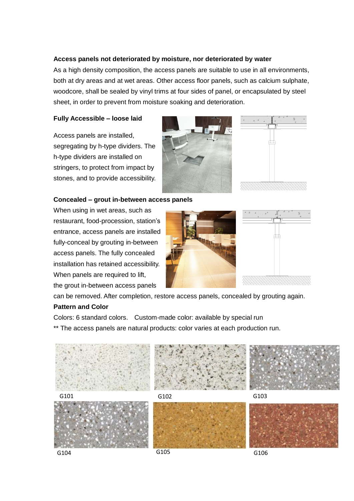### **Access panels not deteriorated by moisture, nor deteriorated by water**

As a high density composition, the access panels are suitable to use in all environments, both at dry areas and at wet areas. Other access floor panels, such as calcium sulphate, woodcore, shall be sealed by vinyl trims at four sides of panel, or encapsulated by steel sheet, in order to prevent from moisture soaking and deterioration.

#### **Fully Accessible – loose laid**

Access panels are installed, segregating by h-type dividers. The h-type dividers are installed on stringers, to protect from impact by stones, and to provide accessibility.





#### **Concealed – grout in-between access panels**

When using in wet areas, such as restaurant, food-procession, station's entrance, access panels are installed fully-conceal by grouting in-between access panels. The fully concealed installation has retained accessibility. When panels are required to lift, the grout in-between access panels





can be removed. After completion, restore access panels, concealed by grouting again.

#### **Pattern and Color**

Colors: 6 standard colors. Custom-made color: available by special run

\*\* The access panels are natural products: color varies at each production run.



G104 G105 G105 G106